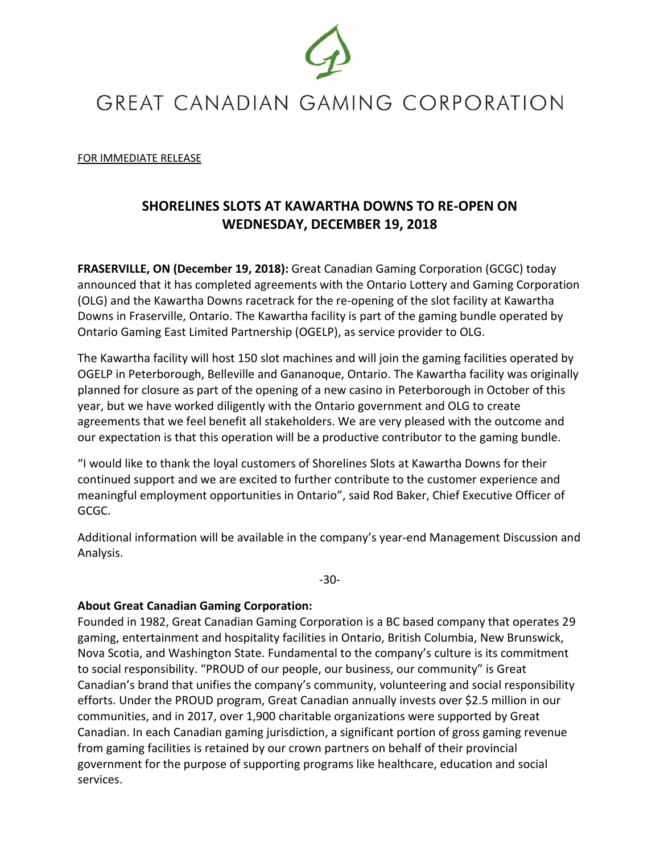

## GREAT CANADIAN GAMING CORPORATION

## FOR IMMEDIATE RELEASE

## **SHORELINES SLOTS AT KAWARTHA DOWNS TO RE-OPEN ON WEDNESDAY, DECEMBER 19, 2018**

**FRASERVILLE, ON (December 19, 2018):** Great Canadian Gaming Corporation (GCGC) today announced that it has completed agreements with the Ontario Lottery and Gaming Corporation (OLG) and the Kawartha Downs racetrack for the re-opening of the slot facility at Kawartha Downs in Fraserville, Ontario. The Kawartha facility is part of the gaming bundle operated by Ontario Gaming East Limited Partnership (OGELP), as service provider to OLG.

The Kawartha facility will host 150 slot machines and will join the gaming facilities operated by OGELP in Peterborough, Belleville and Gananoque, Ontario. The Kawartha facility was originally planned for closure as part of the opening of a new casino in Peterborough in October of this year, but we have worked diligently with the Ontario government and OLG to create agreements that we feel benefit all stakeholders. We are very pleased with the outcome and our expectation is that this operation will be a productive contributor to the gaming bundle.

"I would like to thank the loyal customers of Shorelines Slots at Kawartha Downs for their continued support and we are excited to further contribute to the customer experience and meaningful employment opportunities in Ontario", said Rod Baker, Chief Executive Officer of GCGC.

Additional information will be available in the company's year-end Management Discussion and Analysis.

-30-

## **About Great Canadian Gaming Corporation:**

Founded in 1982, Great Canadian Gaming Corporation is a BC based company that operates 29 gaming, entertainment and hospitality facilities in Ontario, British Columbia, New Brunswick, Nova Scotia, and Washington State. Fundamental to the company's culture is its commitment to social responsibility. "PROUD of our people, our business, our community" is Great Canadian's brand that unifies the company's community, volunteering and social responsibility efforts. Under the PROUD program, Great Canadian annually invests over \$2.5 million in our communities, and in 2017, over 1,900 charitable organizations were supported by Great Canadian. In each Canadian gaming jurisdiction, a significant portion of gross gaming revenue from gaming facilities is retained by our crown partners on behalf of their provincial government for the purpose of supporting programs like healthcare, education and social services.